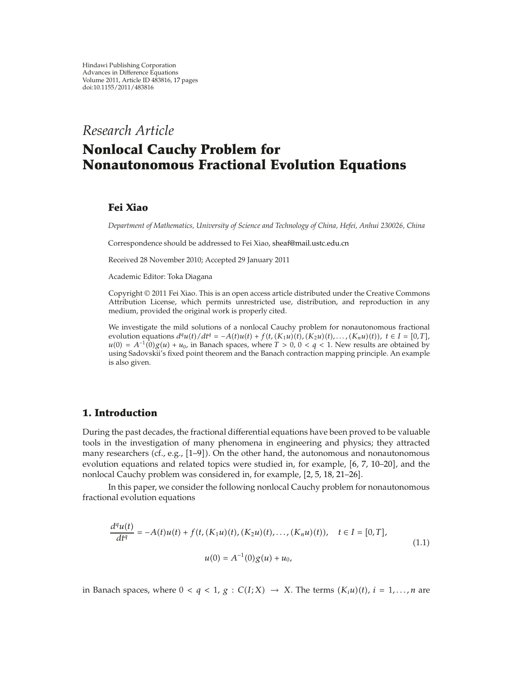*Research Article*

# **Nonlocal Cauchy Problem for Nonautonomous Fractional Evolution Equations**

## **Fei Xiao**

*Department of Mathematics, University of Science and Technology of China, Hefei, Anhui 230026, China*

Correspondence should be addressed to Fei Xiao, sheaf@mail.ustc.edu.cn

Received 28 November 2010; Accepted 29 January 2011

Academic Editor: Toka Diagana

Copyright © 2011 Fei Xiao. This is an open access article distributed under the Creative Commons Attribution License, which permits unrestricted use, distribution, and reproduction in any medium, provided the original work is properly cited.

We investigate the mild solutions of a nonlocal Cauchy problem for nonautonomous fractional evolution equations  $d^qu(t)/dt^q = -A(t)u(t) + f(t, (K_1u)(t), (K_2u)(t), \ldots, (K_nu)(t)), t \in I = [0, T],$  $u(0) = A^{-1}(0)g(u) + u_0$ , in Banach spaces, where  $T > 0$ ,  $0 < q < 1$ . New results are obtained by using Sadovskii's fixed point theorem and the Banach contraction mapping principle. An example is also given.

## **1. Introduction**

During the past decades, the fractional differential equations have been proved to be valuable tools in the investigation of many phenomena in engineering and physics; they attracted many researchers (cf., e.g.,  $[1-9]$ ). On the other hand, the autonomous and nonautonomous evolution equations and related topics were studied in, for example,  $[6, 7, 10-20]$ , and the nonlocal Cauchy problem was considered in, for example, [2, 5, 18, 21-26].

In this paper, we consider the following nonlocal Cauchy problem for nonautonomous fractional evolution equations

$$
\frac{d^q u(t)}{dt^q} = -A(t)u(t) + f(t, (K_1u)(t), (K_2u)(t), \dots, (K_nu)(t)), \quad t \in I = [0, T],
$$
  

$$
u(0) = A^{-1}(0)g(u) + u_0,
$$
 (1.1)

in Banach spaces, where  $0 < q < 1$ ,  $g : C(I;X) \rightarrow X$ . The terms  $(K_i u)(t)$ ,  $i = 1,...,n$  are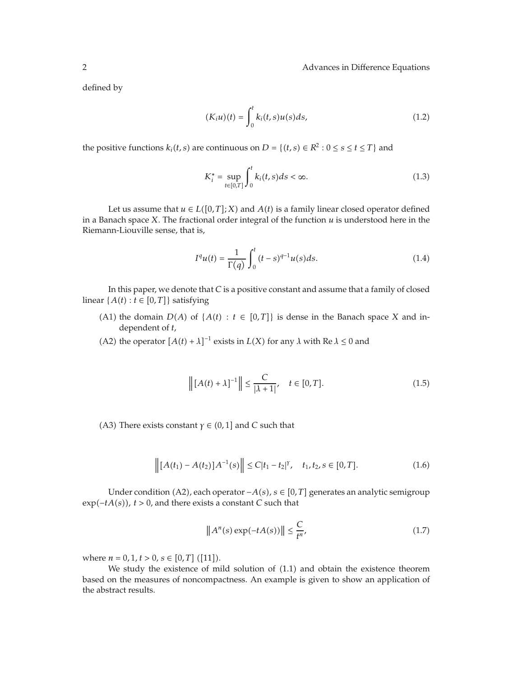defined by

$$
(K_i u)(t) = \int_0^t k_i(t, s) u(s) ds,
$$
\n(1.2)

the positive functions  $k_i(t, s)$  are continuous on  $D = \{(t, s) \in \mathbb{R}^2 : 0 \le s \le t \le T\}$  and

$$
K_i^* = \sup_{t \in [0,T]} \int_0^t k_i(t,s)ds < \infty. \tag{1.3}
$$

Let us assume that  $u \in L([0, T]; X)$  and  $A(t)$  is a family linear closed operator defined in a Banach space *X*. The fractional order integral of the function *u* is understood here in the Riemann-Liouville sense, that is,

$$
I^{q}u(t) = \frac{1}{\Gamma(q)} \int_{0}^{t} (t-s)^{q-1} u(s) ds.
$$
 (1.4)

In this paper, we denote that *C* is a positive constant and assume that a family of closed linear  $\{A(t) : t \in [0, T]\}$  satisfying

- (A1) the domain  $D(A)$  of  $\{A(t) : t \in [0, T]\}$  is dense in the Banach space *X* and independent of *t*,
- (A2) the operator  $[A(t) + \lambda]^{-1}$  exists in  $L(X)$  for any  $\lambda$  with Re  $\lambda \le 0$  and

$$
\left\| [A(t) + \lambda]^{-1} \right\| \le \frac{C}{|\lambda + 1|}, \quad t \in [0, T].
$$
 (1.5)

A3) There exists constant *γ*  $\in$  (0, 1] and *C* such that

$$
\left\| [A(t_1) - A(t_2)] A^{-1}(s) \right\| \le C|t_1 - t_2|^{\gamma}, \quad t_1, t_2, s \in [0, T]. \tag{1.6}
$$

Under condition A2, each operator −*As*, *s* ∈ 0*, T* generates an analytic semigroup  $exp(-tA(s))$ ,  $t > 0$ , and there exists a constant *C* such that

$$
\|A^n(s)\exp(-tA(s))\| \le \frac{C}{t^n},\tag{1.7}
$$

where  $n = 0, 1, t > 0, s \in [0, T]$  ([11]).

We study the existence of mild solution of  $(1.1)$  and obtain the existence theorem based on the measures of noncompactness. An example is given to show an application of the abstract results.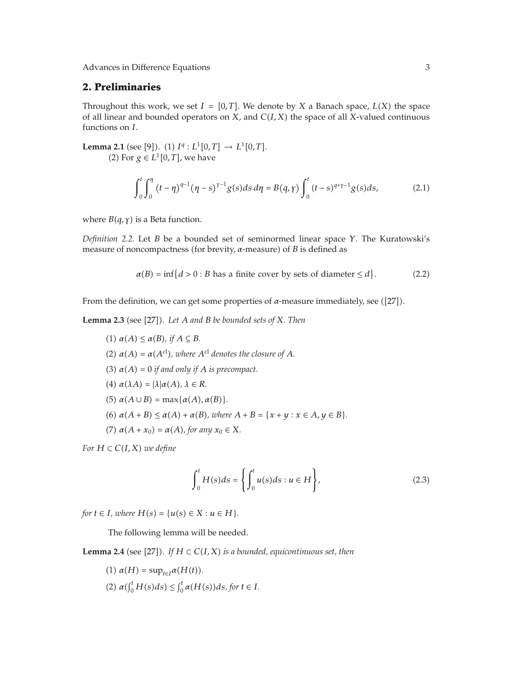## **2. Preliminaries**

Throughout this work, we set  $I = [0, T]$ . We denote by *X* a Banach space,  $L(X)$  the space of all linear and bounded operators on *X*, and *CI, X* the space of all *X*-valued continuous functions on *I*.

**Lemma 2.1** (see [9]). (1)  $I^q: L^1[0,T] \to L^1[0,T]$ . (2) For  $g \in L^1[0,T]$ , we have

$$
\int_0^t \int_0^{\eta} (t - \eta)^{q-1} (\eta - s)^{\gamma - 1} g(s) ds d\eta = B(q, \gamma) \int_0^t (t - s)^{q + \gamma - 1} g(s) ds,
$$
 (2.1)

where  $B(q, \gamma)$  is a Beta function.

*Definition 2.2.* Let *B* be a bounded set of seminormed linear space *Y*. The Kuratowski's measure of noncompactness (for brevity,  $\alpha$ -measure) of  $B$  is defined as

$$
\alpha(B) = \inf\{d > 0 : B \text{ has a finite cover by sets of diameter} \le d\}.\tag{2.2}
$$

From the definition, we can get some properties of  $\alpha$ -measure immediately, see ([27]).

**Lemma 2.3** (see [27]). Let A and B be bounded sets of X. Then

 $(1)$   $\alpha(A) \leq \alpha(B)$ , if  $A \subseteq B$ . (2)  $\alpha(A) = \alpha(A^{\text{cl}})$ , where  $A^{\text{cl}}$  denotes the closure of A.  $(3)$   $\alpha(A) = 0$  *if and only if A is precompact.*  $(4)$   $\alpha(\lambda A) = |\lambda| \alpha(A), \lambda \in R$ .  $(5)$   $\alpha(A \cup B) = \max{\{\alpha(A), \alpha(B)\}}$ .  $\alpha(A + B) \leq \alpha(A) + \alpha(B)$ , where  $A + B = \{x + y : x \in A, y \in B\}.$  $(7)$   $\alpha(A + x_0) = \alpha(A)$ , for any  $x_0 \in X$ .

*For*  $H \subset C(I, X)$  *we define* 

$$
\int_0^t H(s)ds = \left\{ \int_0^t u(s)ds : u \in H \right\},\tag{2.3}
$$

*for*  $t \in I$ *, where*  $H(s) = \{u(s) \in X : u \in H\}.$ 

The following lemma will be needed.

**Lemma 2.4** (see [27]). If  $H \subset C(I,X)$  is a bounded, equicontinuous set, then

 $(1)$   $\alpha(H) = \sup_{t \in I} \alpha(H(t)).$  $(2)$   $\alpha(\int_0^t H(s)ds) \leq \int_0^t \alpha(H(s))ds,$  for  $t \in I$ .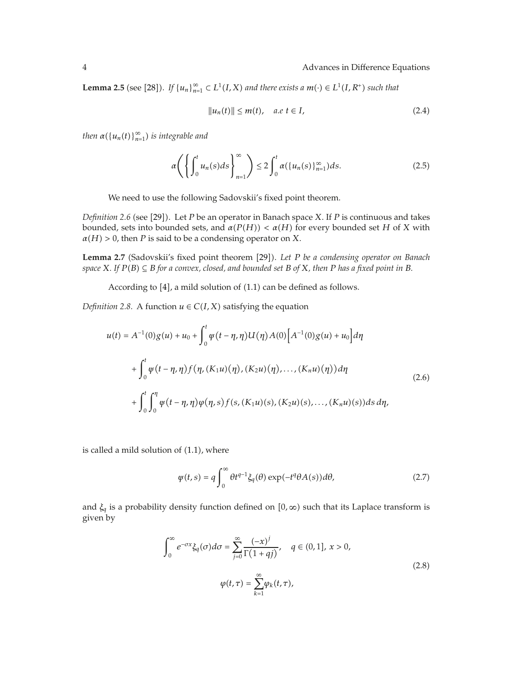**Lemma 2.5** (see [28]). *If*  $\{u_n\}_{n=1}^{\infty} \subset L^1(I,X)$  and there exists a  $m(\cdot) \in L^1(I,R^+)$  such that

$$
||u_n(t)|| \le m(t), \quad a.e \ t \in I,
$$
\n
$$
(2.4)
$$

*then*  $\alpha(\lbrace u_n(t) \rbrace_{n=1}^{\infty})$  *is integrable and* 

$$
\alpha \left( \left\{ \int_0^t u_n(s) ds \right\}_{n=1}^\infty \right) \le 2 \int_0^t \alpha(\{u_n(s)\}_{n=1}^\infty) ds. \tag{2.5}
$$

We need to use the following Sadovskii's fixed point theorem.

*Definition* 2.6 (see [29]). Let *P* be an operator in Banach space *X*. If *P* is continuous and takes bounded, sets into bounded sets, and  $α(P(H)) < α(H)$  for every bounded set *H* of *X* with  $\alpha$ *H*  $>$  0, then *P* is said to be a condensing operator on *X*.

Lemma 2.7 (Sadovskii's fixed point theorem [29]). Let P be a condensing operator on Banach  $a$  *space*  $X$ *. If*  $P(B) \subseteq B$  *for a convex, closed, and bounded set*  $B$  *of*  $X$ *, then*  $P$  *has a fixed point in*  $B$ *.* 

According to  $[4]$ , a mild solution of  $(1.1)$  can be defined as follows.

*Definition 2.8.* A function  $u \in C(I, X)$  satisfying the equation

$$
u(t) = A^{-1}(0)g(u) + u_0 + \int_0^t \psi(t - \eta, \eta)U(\eta)A(0)[A^{-1}(0)g(u) + u_0]d\eta
$$
  
+ 
$$
\int_0^t \psi(t - \eta, \eta)f(\eta, (K_1u)(\eta), (K_2u)(\eta), ..., (K_nu)(\eta))d\eta
$$
  
+ 
$$
\int_0^t \int_0^{\eta} \psi(t - \eta, \eta)\varphi(\eta, s)f(s, (K_1u)(s), (K_2u)(s), ..., (K_nu)(s))ds d\eta,
$$
 (2.6)

is called a mild solution of  $(1.1)$ , where

$$
\psi(t,s) = q \int_0^\infty \theta t^{q-1} \xi_q(\theta) \exp(-t^q \theta A(s)) d\theta, \tag{2.7}
$$

and *ξ<sub>q</sub>* is a probability density function defined on [0,∞) such that its Laplace transform is given by

$$
\int_0^\infty e^{-\sigma x} \xi_q(\sigma) d\sigma = \sum_{j=0}^\infty \frac{(-x)^j}{\Gamma(1+qj)}, \quad q \in (0,1], x > 0,
$$
  

$$
\varphi(t,\tau) = \sum_{k=1}^\infty \varphi_k(t,\tau),
$$
 (2.8)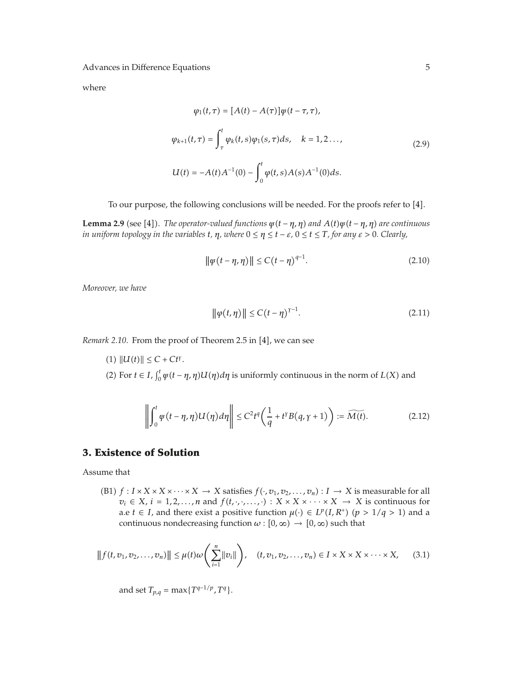where

$$
\varphi_1(t, \tau) = [A(t) - A(\tau)]\psi(t - \tau, \tau),
$$
  

$$
\varphi_{k+1}(t, \tau) = \int_{\tau}^{t} \varphi_k(t, s)\varphi_1(s, \tau)ds, \quad k = 1, 2... ,
$$
  

$$
U(t) = -A(t)A^{-1}(0) - \int_{0}^{t} \varphi(t, s)A(s)A^{-1}(0)ds.
$$
 (2.9)

To our purpose, the following conclusions will be needed. For the proofs refer to [4].

**Lemma 2.9** (see [4]). The operator-valued functions  $\psi(t - \eta, \eta)$  and  $A(t)\psi(t - \eta, \eta)$  are continuous *in uniform topology in the variables*  $t$ *,*  $\eta$ *, where*  $0 \leq \eta \leq t - \varepsilon$ ,  $0 \leq t \leq T$ , for any  $\varepsilon > 0$ . Clearly,

$$
\|\psi(t - \eta, \eta)\| \le C(t - \eta)^{q-1}.
$$
 (2.10)

*Moreover, we have*

$$
\|\varphi(t,\eta)\| \le C(t-\eta)^{\gamma-1}.
$$
 (2.11)

*Remark 2.10.* From the proof of Theorem 2.5 in [4], we can see

 $(1)$   $||U(t)|| \leq C + Ct^{\gamma}$ . (2) For  $t \in I$ ,  $\int_0^t \psi(t - \eta, \eta) U(\eta) d\eta$  is uniformly continuous in the norm of  $L(X)$  and

$$
\left\| \int_0^t \varphi(t - \eta, \eta) U(\eta) d\eta \right\| \le C^2 t^q \left( \frac{1}{q} + t^{\gamma} B(q, \gamma + 1) \right) := \widetilde{M(t)}.
$$
 (2.12)

## **3. Existence of Solution**

Assume that

(B1)  $f: I \times X \times X \times \cdots \times X \rightarrow X$  satisfies  $f(\cdot, v_1, v_2, \ldots, v_n): I \rightarrow X$  is measurable for all  $v_i \in X$ ,  $i = 1, 2, ..., n$  and  $f(t, \cdot, \cdot, ...) : X \times X \times \cdots \times X \rightarrow X$  is continuous for a.e *t*  $\in$  *I*, and there exist a positive function  $\mu(\cdot) \in L^p(I, R^+)$  ( $p > 1/q > 1$ ) and a continuous nondecreasing function  $\omega$  :  $[0, \infty) \rightarrow [0, \infty)$  such that

$$
|| f(t, v_1, v_2, \dots, v_n) || \leq \mu(t) \omega \left( \sum_{i=1}^n ||v_i|| \right), \quad (t, v_1, v_2, \dots, v_n) \in I \times X \times X \times \dots \times X, \quad (3.1)
$$

and set  $T_{p,q} = \max\{T^{q-1/p}, T^q\}.$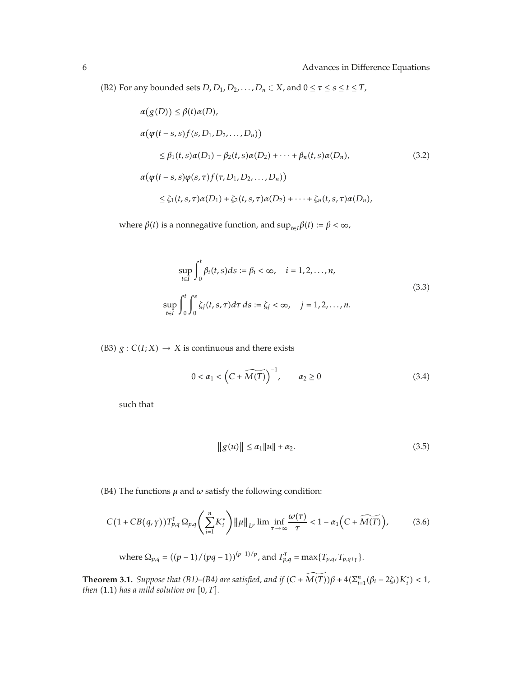(B2) For any bounded sets  $D, D_1, D_2, \ldots, D_n \subset X$ , and  $0 \leq \tau \leq s \leq t \leq T$ ,

$$
\alpha(g(D)) \leq \beta(t)\alpha(D),
$$
  
\n
$$
\alpha(\psi(t-s,s)f(s,D_1,D_2,...,D_n))
$$
  
\n
$$
\leq \beta_1(t,s)\alpha(D_1) + \beta_2(t,s)\alpha(D_2) + \cdots + \beta_n(t,s)\alpha(D_n),
$$
  
\n
$$
\alpha(\psi(t-s,s)\psi(s,\tau)f(\tau,D_1,D_2,...,D_n))
$$
  
\n
$$
\leq \zeta_1(t,s,\tau)\alpha(D_1) + \zeta_2(t,s,\tau)\alpha(D_2) + \cdots + \zeta_n(t,s,\tau)\alpha(D_n),
$$
\n(3.2)

where *β*(*t*) is a nonnegative function, and  $\sup_{t\in I}\beta(t) := \beta < \infty$ ,

$$
\sup_{t \in I} \int_{0}^{t} \beta_{i}(t, s) ds := \beta_{i} < \infty, \quad i = 1, 2, ..., n,
$$
  
\n
$$
\sup_{t \in I} \int_{0}^{t} \int_{0}^{s} \zeta_{j}(t, s, \tau) d\tau ds := \zeta_{j} < \infty, \quad j = 1, 2, ..., n.
$$
\n(3.3)

(B3)  $g: C(I; X) \rightarrow X$  is continuous and there exists

$$
0 < \alpha_1 < \left( C + \widetilde{M(T)} \right)^{-1}, \qquad \alpha_2 \geq 0 \tag{3.4}
$$

such that

$$
||g(u)|| \le \alpha_1 ||u|| + \alpha_2. \tag{3.5}
$$

(B4) The functions  $\mu$  and  $\omega$  satisfy the following condition:

$$
C\big(1+CB(q,\gamma)\big)T_{p,q}^{\gamma}\,\Omega_{p,q}\bigg(\sum_{i=1}^{n}K_{i}^{*}\bigg)\|\mu\|_{L^{p}}\lim\inf_{\tau\to\infty}\frac{\omega(\tau)}{\tau}<1-\alpha_{1}\Big(C+\widetilde{M(T)}\Big),\qquad(3.6)
$$

where 
$$
\Omega_{p,q} = ((p-1)/(pq-1))^{(p-1)/p}
$$
, and  $T_{p,q}^{\gamma} = \max\{T_{p,q}, T_{p,q+\gamma}\}$ .

**Theorem 3.1.** *Suppose that (B1)–(B4) are satisfied, and if*  $(C + M(T))\beta + 4(\sum_{i=1}^{n} (\beta_i + 2\zeta_i)K_i^*) < 1$ , *then*  $(1.1)$  *has a mild solution on*  $[0, T]$ *.*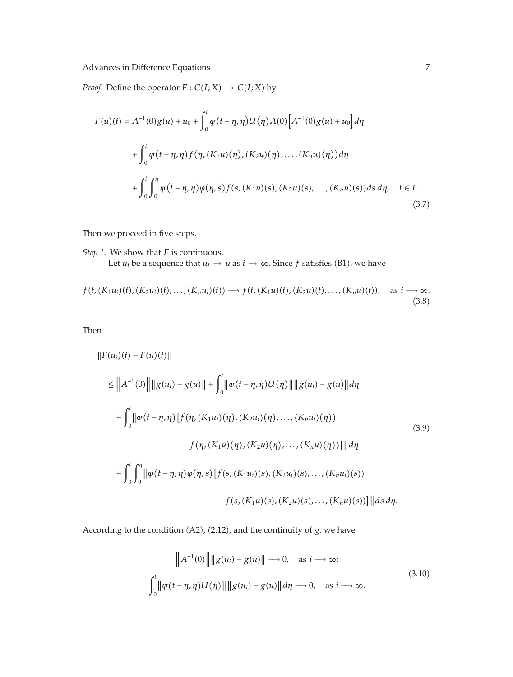*Proof.* Define the operator  $F : C(I; X) \to C(I; X)$  by

$$
F(u)(t) = A^{-1}(0)g(u) + u_0 + \int_0^t \varphi(t - \eta, \eta)U(\eta)A(0)[A^{-1}(0)g(u) + u_0]d\eta
$$
  
+ 
$$
\int_0^t \varphi(t - \eta, \eta)f(\eta, (K_1u)(\eta), (K_2u)(\eta), ..., (K_nu)(\eta))d\eta
$$
  
+ 
$$
\int_0^t \int_0^{\eta} \varphi(t - \eta, \eta)\varphi(\eta, s)f(s, (K_1u)(s), (K_2u)(s), ..., (K_nu)(s))ds d\eta, \quad t \in I.
$$
\n(3.7)

Then we proceed in five steps.

*Step 1.* We show that *F* is continuous. Let *u<sub>i</sub>* be a sequence that  $u_i \rightarrow u$  as  $i \rightarrow \infty$ . Since *f* satisfies (B1), we have

$$
f(t, (K_1u_i)(t), (K_2u_i)(t), \ldots, (K_nu_i)(t)) \longrightarrow f(t, (K_1u)(t), (K_2u)(t), \ldots, (K_nu)(t)), \text{ as } i \longrightarrow \infty.
$$
\n(3.8)

Then

$$
||F(u_i)(t) - F(u)(t)||
$$
  
\n
$$
\leq ||A^{-1}(0)|| ||g(u_i) - g(u)|| + \int_0^t ||\psi(t - \eta, \eta)U(\eta)|| ||g(u_i) - g(u)|| d\eta
$$
  
\n
$$
+ \int_0^t ||\psi(t - \eta, \eta) [f(\eta, (K_1u_i)(\eta), (K_2u_i)(\eta), ..., (K_nu_i)(\eta))
$$
  
\n
$$
-f(\eta, (K_1u)(\eta), (K_2u)(\eta), ..., (K_nu)(\eta)) || d\eta
$$
  
\n
$$
+ \int_0^t \int_0^{\eta} ||\psi(t - \eta, \eta)\varphi(\eta, s) [f(s, (K_1u_i)(s), (K_2u_i)(s), ..., (K_nu_i)(s))
$$
  
\n
$$
-f(s, (K_1u)(s), (K_2u)(s), ..., (K_nu)(s)) ] || ds d\eta.
$$
 (3.9)

According to the condition  $(A2)$ ,  $(2.12)$ , and the continuity of  $g$ , we have

$$
\|A^{-1}(0)\| \|g(u_i) - g(u)\| \to 0, \quad \text{as } i \to \infty;
$$
  

$$
\int_0^t \|\varphi(t - \eta, \eta)U(\eta)\| \|g(u_i) - g(u)\| d\eta \to 0, \quad \text{as } i \to \infty.
$$
 (3.10)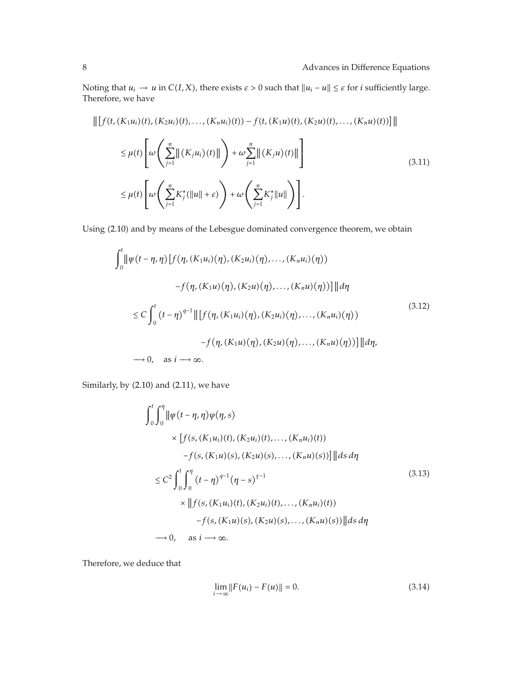Noting that  $u_i \to u$  in  $C(I,X)$ , there exists  $\varepsilon > 0$  such that  $||u_i - u|| \leq \varepsilon$  for *i* sufficiently large. Therefore, we have

$$
\| [f(t, (K_1u_i)(t), (K_2u_i)(t), \dots, (K_nu_i)(t)) - f(t, (K_1u)(t), (K_2u)(t), \dots, (K_nu)(t)) ] \|
$$
  
\n
$$
\leq \mu(t) \left[ \omega \left( \sum_{j=1}^n \| (K_ju_i)(t) \| \right) + \omega \sum_{j=1}^n \| (K_ju)(t) \| \right]
$$
  
\n
$$
\leq \mu(t) \left[ \omega \left( \sum_{j=1}^n K_j^* (\|u\| + \varepsilon) \right) + \omega \left( \sum_{j=1}^n K_j^* \|u\| \right) \right].
$$
\n(3.11)

Using (2.10) and by means of the Lebesgue dominated convergence theorem, we obtain

$$
\int_{0}^{t} \|\psi(t - \eta, \eta)\left[f(\eta, (K_{1}u_{i})(\eta), (K_{2}u_{i})(\eta), ..., (K_{n}u_{i})(\eta))\right]
$$
  

$$
-f(\eta, (K_{1}u)(\eta), (K_{2}u)(\eta), ..., (K_{n}u)(\eta))\right] \|d\eta
$$
  

$$
\leq C \int_{0}^{t} (t - \eta)^{q-1} \|\left[f(\eta, (K_{1}u_{i})(\eta), (K_{2}u_{i})(\eta), ..., (K_{n}u_{i})(\eta))\right]
$$
  

$$
-f(\eta, (K_{1}u)(\eta), (K_{2}u)(\eta), ..., (K_{n}u)(\eta))\| d\eta,
$$
  

$$
\to 0, \text{ as } i \to \infty.
$$
 (3.12)

Similarly, by  $(2.10)$  and  $(2.11)$ , we have

$$
\int_{0}^{t} \int_{0}^{\eta} \|\psi(t - \eta, \eta)\varphi(\eta, s) \times [f(s, (K_1 u_i)(t), (K_2 u_i)(t), \dots, (K_n u_i)(t))
$$
\n
$$
-f(s, (K_1 u)(s), (K_2 u)(s), \dots, (K_n u)(s))]\|ds d\eta
$$
\n
$$
\leq C^2 \int_{0}^{t} \int_{0}^{\eta} (t - \eta)^{q-1} (\eta - s)^{\gamma - 1} \times \|f(s, (K_1 u_i)(t), (K_2 u_i)(t), \dots, (K_n u_i)(t))
$$
\n
$$
-f(s, (K_1 u)(s), (K_2 u)(s), \dots, (K_n u)(s))\|ds d\eta
$$
\n
$$
\to 0, \quad \text{as } i \to \infty.
$$
\n(3.13)

Therefore, we deduce that

$$
\lim_{i \to \infty} ||F(u_i) - F(u)|| = 0.
$$
\n(3.14)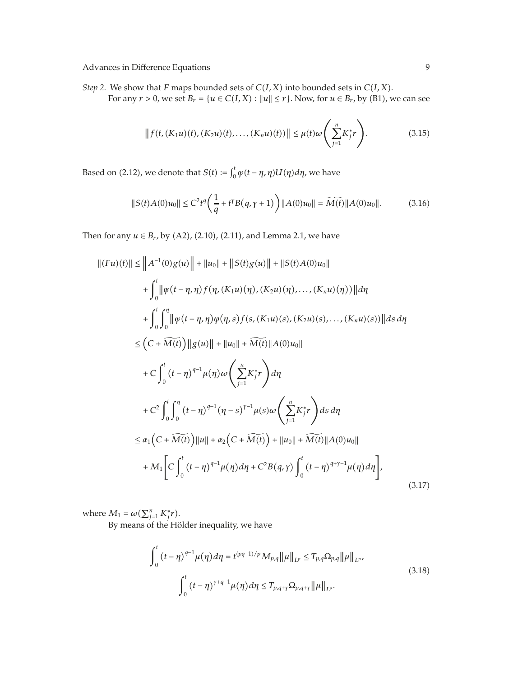*Step 2.* We show that *F* maps bounded sets of *CI, X* into bounded sets in *CI, X*. For any  $r > 0$ , we set  $B_r = \{u \in C(I, X) : ||u|| \leq r\}$ . Now, for  $u \in B_r$ , by (B1), we can see

$$
|| f(t, (K_1u)(t), (K_2u)(t), \dots, (K_nu)(t))|| \leq \mu(t)\omega\left(\sum_{j=1}^n K_j^* r\right).
$$
 (3.15)

Based on (2.12), we denote that  $S(t) := \int_0^t \psi(t - \eta, \eta) U(\eta) d\eta$ , we have

$$
||S(t)A(0)u_0|| \le C^2 t^q \left(\frac{1}{q} + t^{\gamma} B(q, \gamma + 1)\right) ||A(0)u_0|| = \widetilde{M(t)} ||A(0)u_0||. \tag{3.16}
$$

Then for any  $u \in B_r$ , by (A2), (2.10), (2.11), and Lemma 2.1, we have

$$
||(Fu)(t)|| \le ||A^{-1}(0)g(u)|| + ||u_0|| + ||S(t)g(u)|| + ||S(t)A(0)u_0||
$$
  
+ 
$$
\int_0^t ||\psi(t - \eta, \eta)f(\eta, (K_1u)(\eta), (K_2u)(\eta),..., (K_nu)(\eta))||d\eta
$$
  
+ 
$$
\int_0^t \int_0^{\eta} ||\psi(t - \eta, \eta)\varphi(\eta, s)f(s, (K_1u)(s), (K_2u)(s),..., (K_nu)(s))||ds d\eta
$$
  

$$
\le (C + \widetilde{M(t)}) ||g(u)|| + ||u_0|| + \widetilde{M(t)}||A(0)u_0||
$$
  
+ 
$$
C \int_0^t (t - \eta)^{q-1} \mu(\eta) \omega \left(\sum_{j=1}^n K_j^* r \right) d\eta
$$
  
+ 
$$
C^2 \int_0^t \int_0^{\eta} (t - \eta)^{q-1} (\eta - s)^{r-1} \mu(s) \omega \left(\sum_{j=1}^n K_j^* r \right) ds d\eta
$$
  

$$
\le \alpha_1 (C + \widetilde{M(t)}) ||u|| + \alpha_2 (C + \widetilde{M(t)}) + ||u_0|| + \widetilde{M(t)}||A(0)u_0||
$$
  
+ 
$$
M_1 \Big[ C \int_0^t (t - \eta)^{q-1} \mu(\eta) d\eta + C^2 B(q, \gamma) \int_0^t (t - \eta)^{q+\gamma-1} \mu(\eta) d\eta \Big],
$$
(3.17)

where  $M_1 = \omega(\sum_{j=1}^n K_j^* r)$ .

By means of the Hölder inequality, we have

$$
\int_{0}^{t} (t - \eta)^{q-1} \mu(\eta) d\eta = t^{(pq-1)/p} M_{p,q} ||\mu||_{L^{p}} \le T_{p,q} \Omega_{p,q} ||\mu||_{L^{p}},
$$
  

$$
\int_{0}^{t} (t - \eta)^{\gamma+q-1} \mu(\eta) d\eta \le T_{p,q+\gamma} \Omega_{p,q+\gamma} ||\mu||_{L^{p}}.
$$
 (3.18)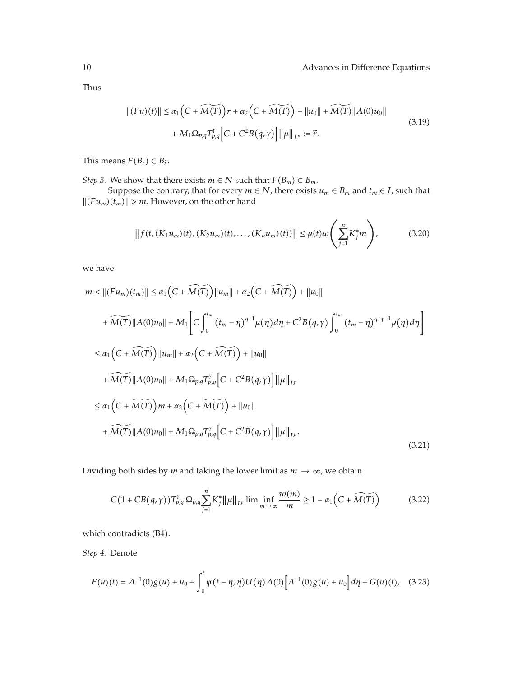Thus

$$
||(Fu)(t)|| \le \alpha_1 \Big( C + \widetilde{M(T)} \Big) r + \alpha_2 \Big( C + \widetilde{M(T)} \Big) + ||u_0|| + \widetilde{M(T)} ||A(0)u_0||
$$
  
+  $M_1 \Omega_{p,q} T_{p,q}^{\gamma} \Big[ C + C^2 B(q,\gamma) \Big] ||\mu||_{L^p} := \widetilde{r}.$  (3.19)

This means  $F(B_r) \subset B_{\tilde{r}}$ .

*Step 3.* We show that there exists  $m \in N$  such that  $F(B_m) \subset B_m$ .

Suppose the contrary, that for every  $m \in N$ , there exists  $u_m \in B_m$  and  $t_m \in I$ , such that  $||(Fu_m)(t_m)|| > m$ . However, on the other hand

$$
|| f(t, (K_1 u_m)(t), (K_2 u_m)(t), \dots, (K_n u_m)(t)) || \leq \mu(t) \omega \left( \sum_{j=1}^n K_j^* m \right), \tag{3.20}
$$

we have

$$
m < ||(Fu_m)(t_m)|| \le \alpha_1 (C + \widetilde{M(T)}) ||u_m|| + \alpha_2 (C + \widetilde{M(T)}) + ||u_0||
$$
  
+  $\widetilde{M(T)} ||A(0)u_0|| + M_1 \Big[ C \int_0^{t_m} (t_m - \eta)^{q-1} \mu(\eta) d\eta + C^2 B(q, \gamma) \int_0^{t_m} (t_m - \eta)^{q+\gamma-1} \mu(\eta) d\eta \Big]$   

$$
\le \alpha_1 (C + \widetilde{M(T)}) ||u_m|| + \alpha_2 (C + \widetilde{M(T)}) + ||u_0||
$$
  
+  $\widetilde{M(T)} ||A(0)u_0|| + M_1 \Omega_{p,q} T_{p,q}^{\gamma} \Big[ C + C^2 B(q, \gamma) \Big] ||\mu||_{L^p}$   

$$
\le \alpha_1 (C + \widetilde{M(T)}) m + \alpha_2 (C + \widetilde{M(T)}) + ||u_0||
$$
  
+  $\widetilde{M(T)} ||A(0)u_0|| + M_1 \Omega_{p,q} T_{p,q}^{\gamma} \Big[ C + C^2 B(q, \gamma) \Big] ||\mu||_{L^p}.$  (3.21)

Dividing both sides by *m* and taking the lower limit as  $m \to \infty$ , we obtain

$$
C\left(1+CB(q,\gamma)\right)T_{p,q}^{\gamma}\Omega_{p,q}\sum_{j=1}^{n}K_{j}^{*}\|\mu\|_{L^{p}}\lim\inf_{m\to\infty}\frac{w(m)}{m}\geq1-\alpha_{1}\left(C+\widetilde{M(T)}\right)\tag{3.22}
$$

which contradicts (B4).

*Step 4.* Denote

$$
F(u)(t) = A^{-1}(0)g(u) + u_0 + \int_0^t \psi(t - \eta, \eta)U(\eta)A(0)\Big[A^{-1}(0)g(u) + u_0\Big]d\eta + G(u)(t), \quad (3.23)
$$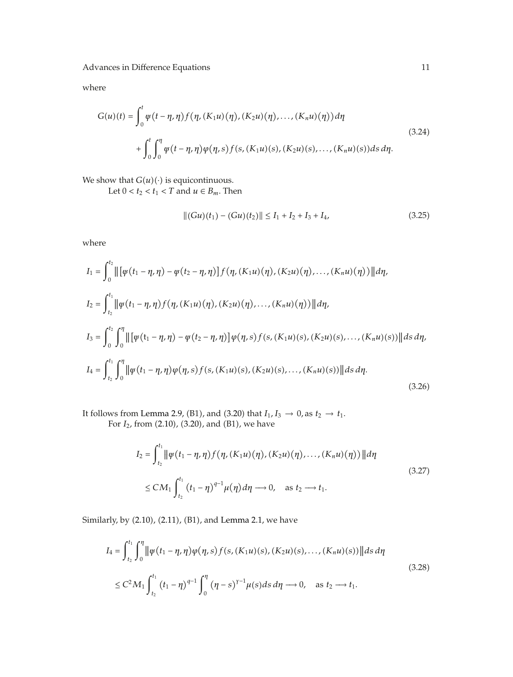where

$$
G(u)(t) = \int_0^t \psi(t - \eta, \eta) f(\eta, (K_1u)(\eta), (K_2u)(\eta), \dots, (K_nu)(\eta)) d\eta
$$
  
+ 
$$
\int_0^t \int_0^{\eta} \psi(t - \eta, \eta) \psi(\eta, s) f(s, (K_1u)(s), (K_2u)(s), \dots, (K_nu)(s)) ds d\eta.
$$
 (3.24)

We show that  $G(u)(\cdot)$  is equicontinuous.

Let  $0 < t_2 < t_1 < T$  and  $u \in B_m$ . Then

$$
||(Gu)(t1) - (Gu)(t2)|| \le I1 + I2 + I3 + I4,
$$
\n(3.25)

where

$$
I_{1} = \int_{0}^{t_{2}} \|\left[\psi(t_{1} - \eta, \eta) - \psi(t_{2} - \eta, \eta)\right] f(\eta, (K_{1}u)(\eta), (K_{2}u)(\eta), \dots, (K_{n}u)(\eta))\|d\eta,
$$
  
\n
$$
I_{2} = \int_{t_{2}}^{t_{1}} \|\psi(t_{1} - \eta, \eta)f(\eta, (K_{1}u)(\eta), (K_{2}u)(\eta), \dots, (K_{n}u)(\eta))\|d\eta,
$$
  
\n
$$
I_{3} = \int_{0}^{t_{2}} \int_{0}^{\eta} \|\left[\psi(t_{1} - \eta, \eta) - \psi(t_{2} - \eta, \eta)\right] \psi(\eta, s)f(s, (K_{1}u)(s), (K_{2}u)(s), \dots, (K_{n}u)(s))\|ds d\eta,
$$
  
\n
$$
I_{4} = \int_{t_{2}}^{t_{1}} \int_{0}^{\eta} \|\psi(t_{1} - \eta, \eta)\psi(\eta, s)f(s, (K_{1}u)(s), (K_{2}u)(s), \dots, (K_{n}u)(s))\|ds d\eta.
$$
\n(3.26)

It follows from Lemma 2.9, (B1), and (3.20) that  $I_1, I_3 \rightarrow 0$ , as  $t_2 \rightarrow t_1$ .

For *I*<sub>2</sub>, from (2.10), (3.20), and (B1), we have

$$
I_2 = \int_{t_2}^{t_1} \|\psi(t_1 - \eta, \eta)f(\eta, (K_1u)(\eta), (K_2u)(\eta), \dots, (K_nu)(\eta))\| d\eta
$$
  
 
$$
\leq CM_1 \int_{t_2}^{t_1} (t_1 - \eta)^{q-1} \mu(\eta) d\eta \longrightarrow 0, \text{ as } t_2 \longrightarrow t_1.
$$
 (3.27)

Similarly, by (2.10), (2.11), (B1), and Lemma 2.1, we have

$$
I_4 = \int_{t_2}^{t_1} \int_0^{\eta} \left\| \psi(t_1 - \eta, \eta) \varphi(\eta, s) f(s, (K_1 u)(s), (K_2 u)(s), \dots, (K_n u)(s)) \right\| ds d\eta
$$
  

$$
\leq C^2 M_1 \int_{t_2}^{t_1} (t_1 - \eta)^{q-1} \int_0^{\eta} (\eta - s)^{r-1} \mu(s) ds d\eta \longrightarrow 0, \text{ as } t_2 \longrightarrow t_1.
$$
 (3.28)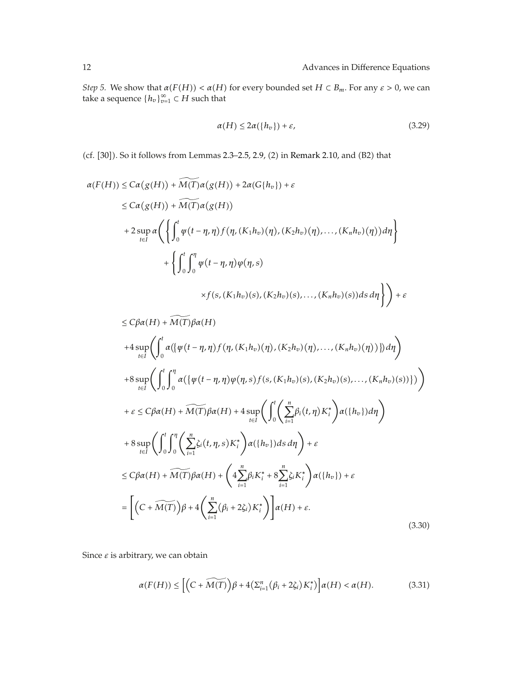*Step 5.* We show that  $\alpha(F(H)) < \alpha(H)$  for every bounded set  $H \subset B_m$ . For any  $\varepsilon > 0$ , we can take a sequence  ${h_v}_{v=1}^{\infty} \subset H$  such that

$$
\alpha(H) \le 2\alpha(\lbrace h_v \rbrace) + \varepsilon,\tag{3.29}
$$

(cf.  $[30]$ ). So it follows from Lemmas 2.3-2.5, 2.9, (2) in Remark 2.10, and (B2) that

$$
\alpha(F(H)) \leq Ca(g(H)) + \widetilde{M(T)}\alpha(g(H)) + 2\alpha(G\{h_v\}) + \varepsilon
$$
  
\n
$$
\leq Ca(g(H)) + \widetilde{M(T)}\alpha(g(H))
$$
  
\n
$$
+ 2 \sup_{t \in I} \alpha \left( \left\{ \int_0^t \varphi(t - \eta, \eta) f(\eta, (K_1 h_v)(\eta), (K_2 h_v)(\eta), \dots, (K_n h_v)(\eta)) d\eta \right\} + \left\{ \int_0^t \int_0^{\eta} \varphi(t - \eta, \eta) \varphi(\eta, s) \right\}
$$
  
\n
$$
\times f(s, (K_1 h_v)(s), (K_2 h_v)(s), \dots, (K_n h_v)(s)) ds d\eta \right) + \varepsilon
$$

$$
\leq C\beta\alpha(H) + \widetilde{M(T)}\beta\alpha(H)
$$
  
+4 sup $\left(\int_{0}^{t} \alpha(\{\varphi(t-\eta,\eta)f(\eta,(K_{1}h_{v})(\eta),(K_{2}h_{v})(\eta),..., (K_{n}h_{v})(\eta))\})d\eta\right)$   
+8 sup $\left(\int_{t\in I}^{t} \int_{0}^{\eta} \alpha(\{\varphi(t-\eta,\eta)\varphi(\eta,s)f(s,(K_{1}h_{v})(s),(K_{2}h_{v})(s),..., (K_{n}h_{v})(s))\})\right)$   
+ $\varepsilon \leq C\beta\alpha(H) + \widetilde{M(T)}\beta\alpha(H) + 4 \sup_{t\in I} \left(\int_{0}^{t} \left(\sum_{i=1}^{n} \beta_{i}(t,\eta)K_{i}^{*}\right)\alpha(\{h_{v}\})d\eta\right)$   
+8 sup $\left(\int_{t\in I}^{t} \int_{0}^{\eta} \left(\sum_{i=1}^{n} \zeta_{i}(t,\eta,s)K_{i}^{*}\right)\alpha(\{h_{v}\})ds d\eta\right) + \varepsilon$   
 $\leq C\beta\alpha(H) + \widetilde{M(T)}\beta\alpha(H) + \left(4\sum_{i=1}^{n} \beta_{i}K_{i}^{*} + 8\sum_{i=1}^{n} \zeta_{i}K_{i}^{*}\right)\alpha(\{h_{v}\}) + \varepsilon$   
=  $\left[\left(C + \widetilde{M(T)}\right)\beta + 4\left(\sum_{i=1}^{n} (\beta_{i} + 2\zeta_{i})K_{i}^{*}\right)\right]\alpha(H) + \varepsilon.$  (3.30)

Since *ε* is arbitrary, we can obtain

$$
\alpha(F(H)) \leq \left[ \left( C + \widetilde{M(T)} \right) \beta + 4 \left( \sum_{i=1}^{n} (\beta_i + 2\zeta_i) K_i^* \right) \right] \alpha(H) < \alpha(H). \tag{3.31}
$$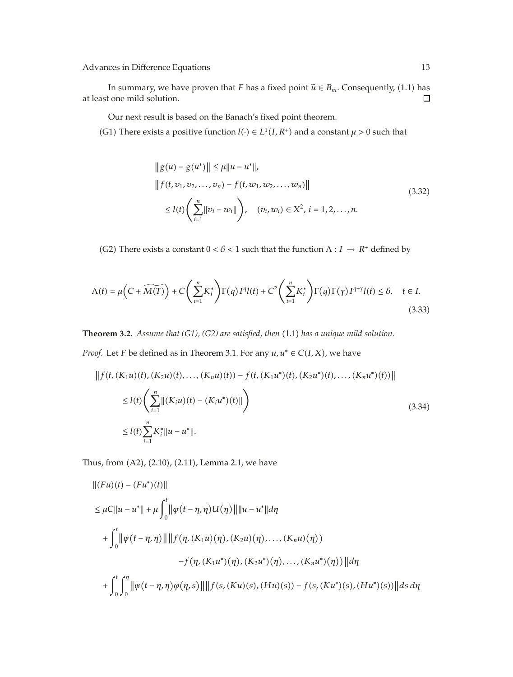In summary, we have proven that *F* has a fixed point  $\tilde{u} \in B_m$ . Consequently, (1.1) has t one mild solution. □ at least one mild solution.

Our next result is based on the Banach's fixed point theorem.

(G1) There exists a positive function  $l(\cdot) \in L^1(I, R^+)$  and a constant  $\mu > 0$  such that

$$
||g(u) - g(u^*)|| \le \mu ||u - u^*||,
$$
  
\n
$$
||f(t, v_1, v_2, ..., v_n) - f(t, w_1, w_2, ..., w_n)||
$$
  
\n
$$
\le l(t) \left(\sum_{i=1}^n ||v_i - w_i||\right), \quad (v_i, w_i) \in X^2, i = 1, 2, ..., n.
$$
\n(3.32)

(G2) There exists a constant  $0 < \delta < 1$  such that the function  $\Lambda : I \to R^+$  defined by

$$
\Lambda(t) = \mu\left(C + \widetilde{M(T)}\right) + C\left(\sum_{i=1}^{n} K_i^*\right) \Gamma(q) I^q I(t) + C^2 \left(\sum_{i=1}^{n} K_i^*\right) \Gamma(q) \Gamma(\gamma) I^{q+\gamma} I(t) \le \delta, \quad t \in I.
$$
\n(3.33)

**Theorem 3.2.** *Assume that (G1), (G2) are satisfied, then* 1.1 *has a unique mild solution. Proof.* Let *F* be defined as in Theorem 3.1. For any  $u, u^* \in C(I, X)$ , we have

$$
|| f(t, (K_1u)(t), (K_2u)(t),..., (K_nu)(t)) - f(t, (K_1u^*)(t), (K_2u^*)(t),..., (K_nu^*)(t))||
$$
  
\n
$$
\leq l(t) \left( \sum_{i=1}^n ||(K_iu)(t) - (K_iu^*)(t)|| \right)
$$
  
\n
$$
\leq l(t) \sum_{i=1}^n K_i^* ||u - u^*||.
$$
\n(3.34)

Thus, from  $(A2)$ ,  $(2.10)$ ,  $(2.11)$ , Lemma 2.1, we have

$$
||(Fu)(t) - (Fu^*)(t)||
$$
  
\n
$$
\leq \mu C||u - u^*|| + \mu \int_0^t ||\psi(t - \eta, \eta)U(\eta)|| ||u - u^*|| d\eta
$$
  
\n
$$
+ \int_0^t ||\psi(t - \eta, \eta)|| ||f(\eta, (K_1u)(\eta), (K_2u)(\eta), ..., (K_nu)(\eta))
$$
  
\n
$$
-f(\eta, (K_1u^*)(\eta), (K_2u^*)(\eta), ..., (K_nu^*)(\eta))|| d\eta
$$
  
\n
$$
+ \int_0^t \int_0^{\eta} ||\psi(t - \eta, \eta)\varphi(\eta, s)|| ||f(s, (Ku)(s), (Hu)(s)) - f(s, (Ku^*)(s), (Hu^*)(s))|| ds d\eta
$$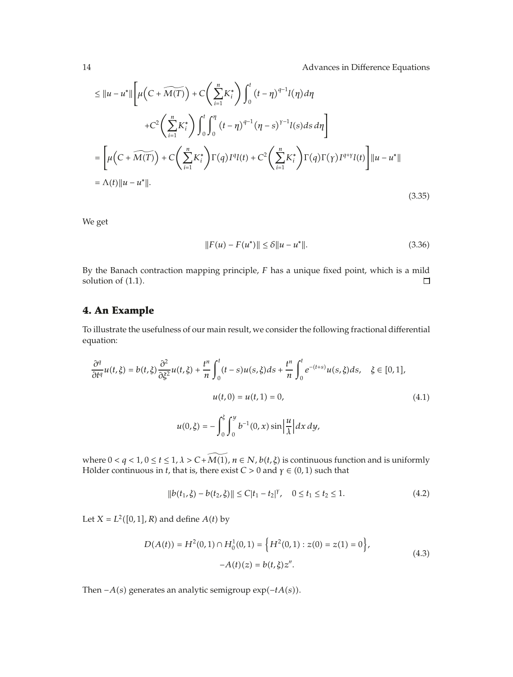$$
\leq ||u - u^*|| \left[ \mu \left( C + \widetilde{M(T)} \right) + C \left( \sum_{i=1}^n K_i^* \right) \int_0^t (t - \eta)^{q-1} l(\eta) d\eta \right. \\ \left. + C^2 \left( \sum_{i=1}^n K_i^* \right) \int_0^t \int_0^{\eta} (t - \eta)^{q-1} (\eta - s)^{r-1} l(s) ds d\eta \right] \\ = \left[ \mu \left( C + \widetilde{M(T)} \right) + C \left( \sum_{i=1}^n K_i^* \right) \Gamma(q) I^q l(t) + C^2 \left( \sum_{i=1}^n K_i^* \right) \Gamma(q) \Gamma(\gamma) I^{q+\gamma} l(t) \right] ||u - u^*|| \\ = \Lambda(t) ||u - u^*||. \tag{3.35}
$$

We get

$$
||F(u) - F(u^*)|| \le \delta ||u - u^*||. \tag{3.36}
$$

By the Banach contraction mapping principle, *F* has a unique fixed point, which is a mild solution of  $(1.1)$ .  $\Box$ 

## **4. An Example**

To illustrate the usefulness of our main result, we consider the following fractional differential equation:

$$
\frac{\partial^q}{\partial t^q} u(t,\xi) = b(t,\xi) \frac{\partial^2}{\partial \xi^2} u(t,\xi) + \frac{t^n}{n} \int_0^t (t-s) u(s,\xi) ds + \frac{t^n}{n} \int_0^t e^{-(t+s)} u(s,\xi) ds, \quad \xi \in [0,1],
$$
  

$$
u(t,0) = u(t,1) = 0,
$$
  

$$
u(0,\xi) = -\int_0^{\xi} \int_0^y b^{-1}(0,x) \sin \left| \frac{u}{\lambda} \right| dx dy,
$$
 (4.1)

where  $0 < q < 1$ ,  $0 \le t \le 1$ ,  $\lambda > C + M(1)$ ,  $n \in N$ ,  $b(t, \xi)$  is continuous function and is uniformly Hölder continuous in *t*, that is, there exist  $C > 0$  and  $\gamma \in (0, 1)$  such that

$$
||b(t_1,\xi) - b(t_2,\xi)|| \le C|t_1 - t_2|^{\gamma}, \quad 0 \le t_1 \le t_2 \le 1.
$$
 (4.2)

Let  $X = L^2([0, 1], R)$  and define  $A(t)$  by

$$
D(A(t)) = H2(0,1) \cap H01(0,1) = \left\{ H2(0,1) : z(0) = z(1) = 0 \right\},
$$
  
-A(t)(z) = b(t, \xi)z". (4.3)

Then −*A*(*s*) generates an analytic semigroup exp(−*tA*(*s*)).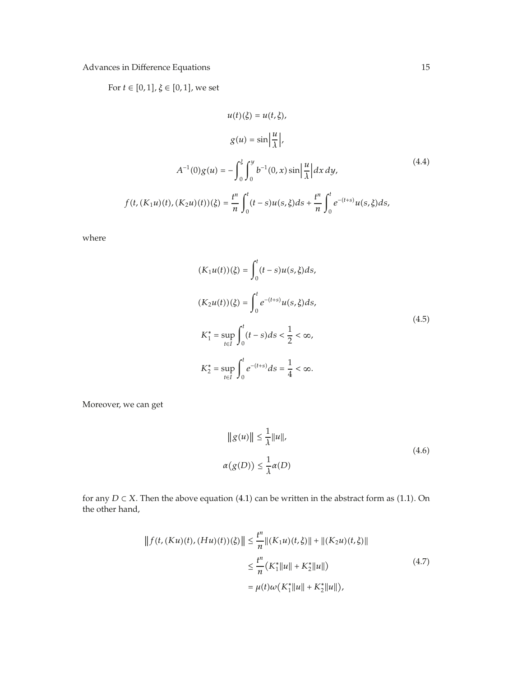For  $t \in [0, 1]$ ,  $\xi \in [0, 1]$ , we set

$$
u(t)(\xi) = u(t, \xi),
$$
  
\n
$$
g(u) = \sin\left|\frac{u}{\lambda}\right|,
$$
  
\n
$$
A^{-1}(0)g(u) = -\int_0^{\xi} \int_0^y b^{-1}(0, x) \sin\left|\frac{u}{\lambda}\right| dx dy,
$$
  
\n
$$
f(t, (K_1u)(t), (K_2u)(t))(\xi) = \frac{t^n}{n} \int_0^t (t-s)u(s, \xi)ds + \frac{t^n}{n} \int_0^t e^{-(t+s)}u(s, \xi)ds,
$$
\n(4.4)

where

$$
(K_1u(t))(\xi) = \int_0^t (t-s)u(s,\xi)ds,
$$
  
\n
$$
(K_2u(t))(\xi) = \int_0^t e^{-(t+s)}u(s,\xi)ds,
$$
  
\n
$$
K_1^* = \sup_{t \in I} \int_0^t (t-s)ds < \frac{1}{2} < \infty,
$$
  
\n
$$
K_2^* = \sup_{t \in I} \int_0^t e^{-(t+s)}ds = \frac{1}{4} < \infty.
$$
\n(4.5)

Moreover, we can get

$$
||g(u)|| \leq \frac{1}{\lambda} ||u||,
$$
  
\n
$$
\alpha(g(D)) \leq \frac{1}{\lambda} \alpha(D)
$$
\n(4.6)

for any  $D \subset X$ . Then the above equation (4.1) can be written in the abstract form as (1.1). On the other hand,

$$
|| f(t, (Ku)(t), (Hu)(t))(\xi) || \le \frac{t^n}{n} ||(K_1u)(t, \xi)|| + ||(K_2u)(t, \xi)||
$$
  

$$
\le \frac{t^n}{n} (K_1^* ||u|| + K_2^* ||u||)
$$
  

$$
= \mu(t)\omega(K_1^* ||u|| + K_2^* ||u||),
$$
 (4.7)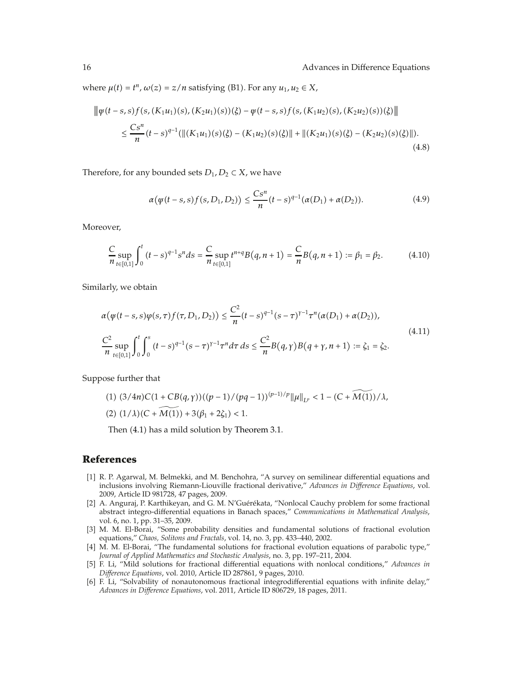where  $\mu(t) = t^n$ ,  $\omega(z) = z/n$  satisfying (B1). For any  $u_1, u_2 \in X$ ,

$$
\|\psi(t-s,s)f(s,(K_1u_1)(s),(K_2u_1)(s))(\xi) - \psi(t-s,s)f(s,(K_1u_2)(s),(K_2u_2)(s))(\xi)\|
$$
  

$$
\leq \frac{Cs^n}{n}(t-s)^{q-1}(\|(K_1u_1)(s)(\xi) - (K_1u_2)(s)(\xi)\| + \|(K_2u_1)(s)(\xi) - (K_2u_2)(s)(\xi)\|).
$$
\n(4.8)

Therefore, for any bounded sets  $D_1$ ,  $D_2 \subset X$ , we have

$$
\alpha(\psi(t-s,s)f(s,D_1,D_2)) \le \frac{Cs^n}{n}(t-s)^{q-1}(\alpha(D_1) + \alpha(D_2)).
$$
\n(4.9)

Moreover,

$$
\frac{C}{n} \sup_{t \in [0,1]} \int_0^t (t-s)^{q-1} s^n ds = \frac{C}{n} \sup_{t \in [0,1]} t^{n+q} B(q, n+1) = \frac{C}{n} B(q, n+1) := \beta_1 = \beta_2. \tag{4.10}
$$

Similarly, we obtain

$$
\alpha(\psi(t-s,s)\varphi(s,\tau)f(\tau,D_1,D_2)) \le \frac{C^2}{n}(t-s)^{q-1}(s-\tau)^{\gamma-1}\tau^n(\alpha(D_1)+\alpha(D_2)),
$$
\n
$$
\frac{C^2}{n}\sup_{t\in[0,1]}\int_0^t\int_0^s(t-s)^{q-1}(s-\tau)^{\gamma-1}\tau^n d\tau ds \le \frac{C^2}{n}B(q,\gamma)B(q+\gamma,n+1) := \zeta_1 = \zeta_2.
$$
\n(4.11)

Suppose further that

(1) 
$$
(3/4n)C(1 + CB(q, \gamma))((p-1)/(pq-1))^{(p-1)/p} ||\mu||_{L^p} < 1 - (C + M(1))/\lambda
$$
,  
(2)  $(1/\lambda)(C + M(1)) + 3(\beta_1 + 2\zeta_1) < 1$ .

Then  $(4.1)$  has a mild solution by Theorem 3.1.

## **References**

- [1] R. P. Agarwal, M. Belmekki, and M. Benchohra, "A survey on semilinear differential equations and inclusions involving Riemann-Liouville fractional derivative," *Advances in Difference Equations*, vol. 2009, Article ID 981728, 47 pages, 2009.
- [2] A. Anguraj, P. Karthikeyan, and G. M. N'Guérékata, "Nonlocal Cauchy problem for some fractional abstract integro-differential equations in Banach spaces," *Communications in Mathematical Analysis*, vol. 6, no. 1, pp. 31–35, 2009.
- 3 M. M. El-Borai, "Some probability densities and fundamental solutions of fractional evolution equations," *Chaos, Solitons and Fractals*, vol. 14, no. 3, pp. 433–440, 2002.
- [4] M. M. El-Borai, "The fundamental solutions for fractional evolution equations of parabolic type," *Journal of Applied Mathematics and Stochastic Analysis*, no. 3, pp. 197–211, 2004.
- 5 F. Li, "Mild solutions for fractional differential equations with nonlocal conditions," *Advances in Difference Equations*, vol. 2010, Article ID 287861, 9 pages, 2010.
- 6 F. Li, "Solvability of nonautonomous fractional integrodifferential equations with infinite delay," *Advances in Difference Equations*, vol. 2011, Article ID 806729, 18 pages, 2011.